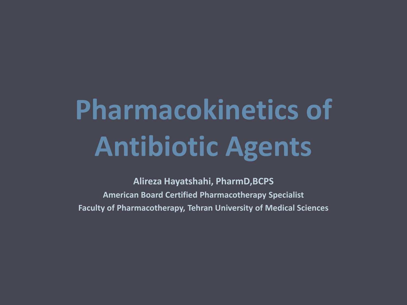# **Pharmacokinetics of Antibiotic Agents**

**Alireza Hayatshahi, PharmD,BCPS American Board Certified Pharmacotherapy Specialist Faculty of Pharmacotherapy, Tehran University of Medical Sciences**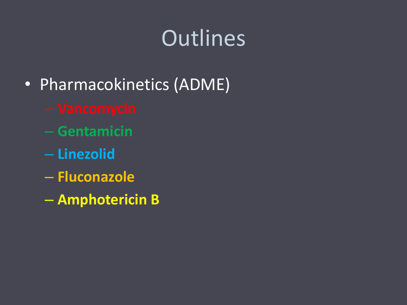# **Outlines**

- Pharmacokinetics (ADME)
	-
	- **Gentamicin**
	- **Linezolid**
	- **Fluconazole**
	- **Amphotericin B**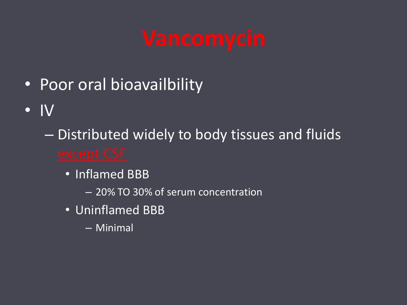- Poor oral bioavailbility
- IV
	- Distributed widely to body tissues and fluids
		- Inflamed BBB
			- 20% TO 30% of serum concentration
		- Uninflamed BBB
			- Minimal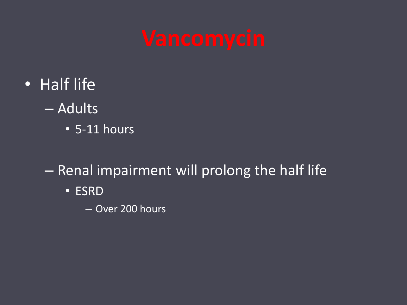- Half life
	- Adults
		- 5-11 hours
	- Renal impairment will prolong the half life
		- ESRD
			- Over 200 hours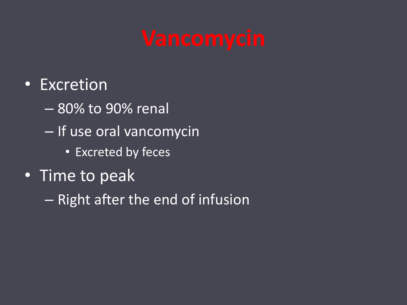- Excretion
	- 80% to 90% renal
	- If use oral vancomycin
		- Excreted by feces
- Time to peak
	- Right after the end of infusion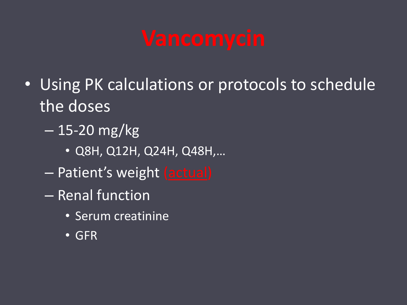- Using PK calculations or protocols to schedule the doses
	- 15-20 mg/kg
		- Q8H, Q12H, Q24H, Q48H,…
	- Patient's weight (actual)
	- Renal function
		- Serum creatinine
		- GFR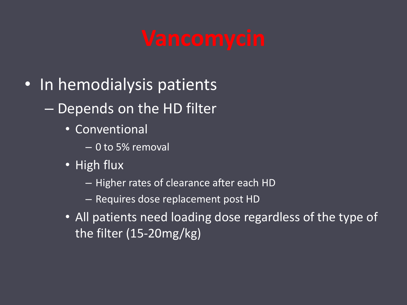- In hemodialysis patients
	- Depends on the HD filter
		- Conventional
			- 0 to 5% removal
		- High flux
			- Higher rates of clearance after each HD
			- Requires dose replacement post HD
		- All patients need loading dose regardless of the type of the filter (15-20mg/kg)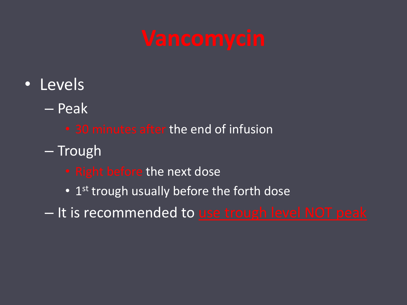- Levels
	- Peak
		- 30 minutes after the end of infusion
	- Trough
		- Right before the next dose
		- 1<sup>st</sup> trough usually before the forth dose
	- It is recommended to use trough level NOT peak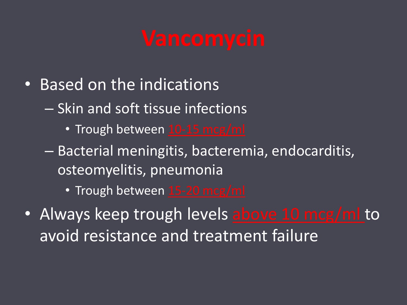- Based on the indications
	- Skin and soft tissue infections
		- Trough between 10-15 mcg/ml
	- Bacterial meningitis, bacteremia, endocarditis, osteomyelitis, pneumonia
		- Trough between 15-20 mcg/ml
- Always keep trough levels above 10 mcg/ml to avoid resistance and treatment failure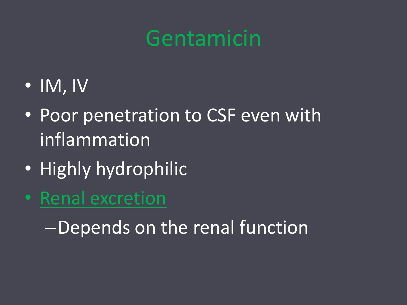- IM, IV
- Poor penetration to CSF even with inflammation
- Highly hydrophilic
- Renal excretion

–Depends on the renal function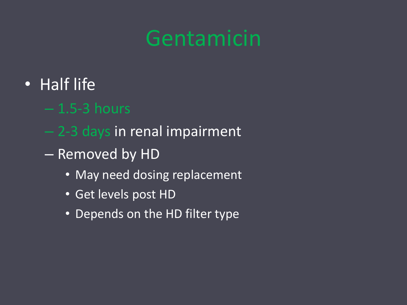- Half life
	- $-1.5-3$  hours
	- 2-3 days in renal impairment
	- Removed by HD
		- May need dosing replacement
		- Get levels post HD
		- Depends on the HD filter type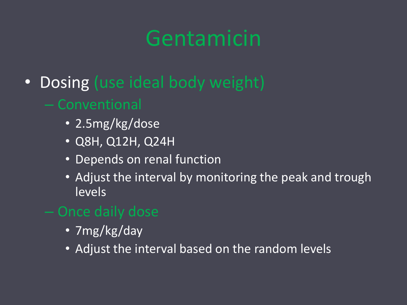- Dosing (use ideal body weight)
	- Conventional
		- 2.5mg/kg/dose
		- Q8H, Q12H, Q24H
		- Depends on renal function
		- Adjust the interval by monitoring the peak and trough levels
	- Once daily dose
		- 7mg/kg/day
		- Adjust the interval based on the random levels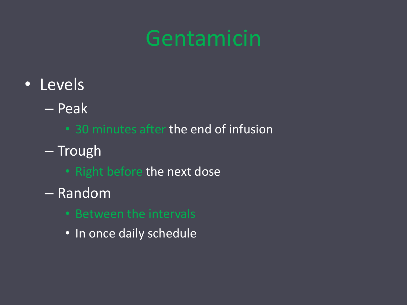- Levels
	- Peak
		- 30 minutes after the end of infusion
	- Trough
		- Right before the next dose
	- Random
		- Between the intervals
		- In once daily schedule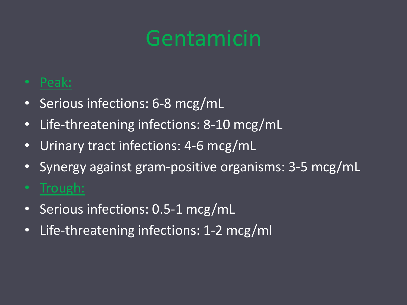- Peak:
- Serious infections: 6-8 mcg/mL
- Life-threatening infections: 8-10 mcg/mL
- Urinary tract infections: 4-6 mcg/mL
- Synergy against gram-positive organisms: 3-5 mcg/mL
- Trough:
- Serious infections: 0.5-1 mcg/mL
- Life-threatening infections: 1-2 mcg/ml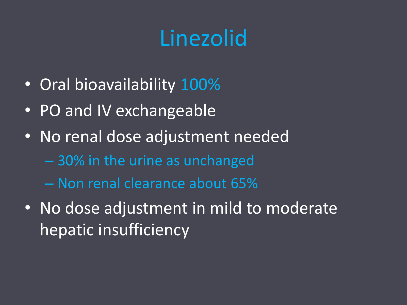# Linezolid

- Oral bioavailability 100%
- PO and IV exchangeable
- No renal dose adjustment needed
	- 30% in the urine as unchanged
	- Non renal clearance about 65%
- No dose adjustment in mild to moderate hepatic insufficiency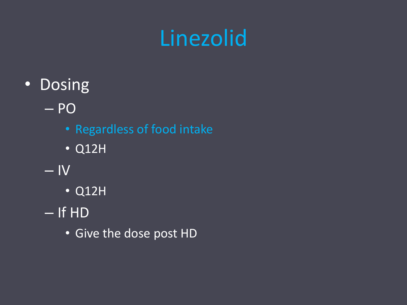# Linezolid

- Dosing
	- PO
		- Regardless of food intake
		- $\overline{\phantom{1}}$   $\overline{\phantom{1}}$  Q12H
	- $-<sup>N</sup>$ 
		- Q12H
	- If HD
		- Give the dose post HD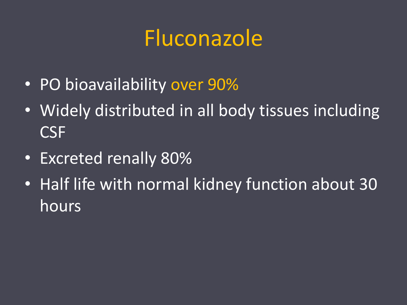### Fluconazole

- PO bioavailability over 90%
- Widely distributed in all body tissues including CSF
- Excreted renally 80%
- Half life with normal kidney function about 30 hours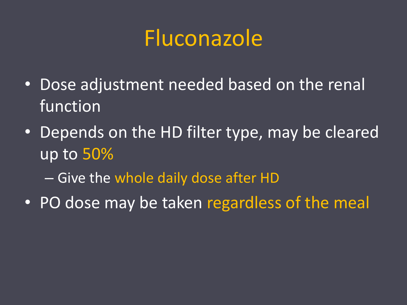### Fluconazole

- Dose adjustment needed based on the renal function
- Depends on the HD filter type, may be cleared up to 50%
	- Give the whole daily dose after HD
- PO dose may be taken regardless of the meal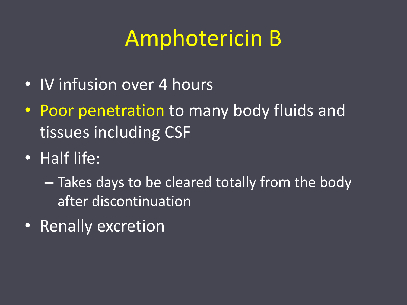### Amphotericin B

- IV infusion over 4 hours
- Poor penetration to many body fluids and tissues including CSF
- Half life:
	- Takes days to be cleared totally from the body after discontinuation
- Renally excretion